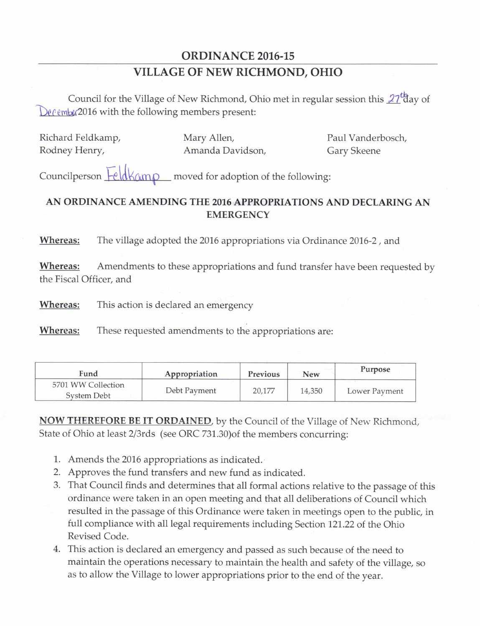## ORDINANCE 2016-15 VILLAGE OF NEW RICHMOND, OHIO

Council for the Village of New Richmond, Ohio met in regular session this  $27<sup>t</sup>$ day of  $De\ell$ em $\alpha$ (2016 with the following members present:

Richard Feldkamp, Mary Allen, Paul Vanderbosch, Rodney Henry, **Amanda Davidson, Gary Skeene** 

Councilperson FeldKamp \_ moved for adoption of the following:

## AN ORDINANCE AMENDING THE 2016 APPROPRIATIONS AND DECLARING AN **EMERGENCY**

Whereas: The village adopted the 2016 appropriations via Ordinance 2016-2, and

Whereas: Amendments to these appropriations and fund transfer have been requested by the Fiscal Officer, and

**Whereas:** This action is declared an emergency

Whereas: These requested amendments to the appropriations are:

| Fund                              | Appropriation | <b>Previous</b> | <b>New</b> | Purpose       |
|-----------------------------------|---------------|-----------------|------------|---------------|
| 5701 WW Collection<br>System Debt | Debt Payment  | 20.177          | 14,350     | Lower Payment |

NOW THEREFORE BE IT ORDAINED, by the Council of the Village of New Richmond, State of Ohio at least 2/3rds (see ORC 731.30) of the members concurring:

- 1. Amends the 2016 appropriations as indicated.
- 2. Approves the fund transfers and new fund as indicated.
- 3. That Council finds and determines that all formal actions relative to the passage of this ordinance were taken in an open meeting and that all deliberations of Council which resulted in the passage of this Ordinance were taken in meetings open to the public, in full compliance with all legal requirements including Section 121. 22 of the Ohio Revised Code.
- 4. This action is declared an emergency and passed as such because of the need to maintain the operations necessary to maintain the health and safety of the village, so as to allow the Village to lower appropriations prior to the end of the year.